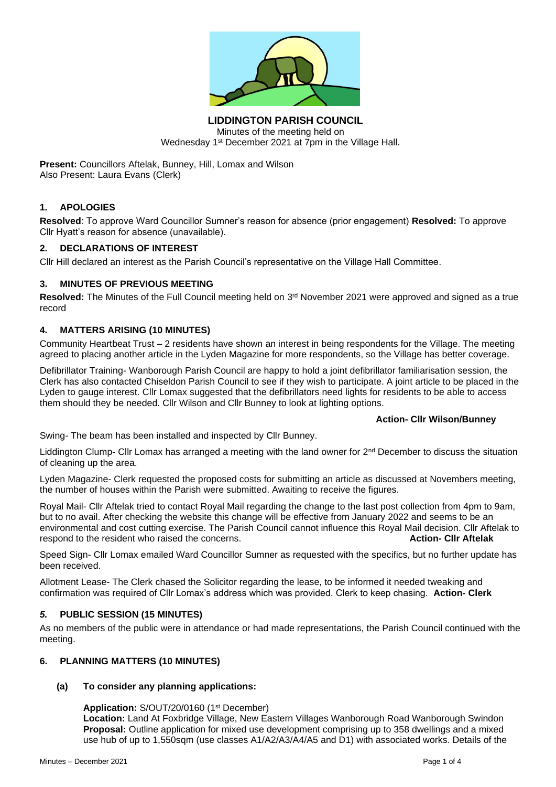

**LIDDINGTON PARISH COUNCIL** Minutes of the meeting held on Wednesday 1st December 2021 at 7pm in the Village Hall.

**Present:** Councillors Aftelak, Bunney, Hill, Lomax and Wilson Also Present: Laura Evans (Clerk)

# **1. APOLOGIES**

**Resolved**: To approve Ward Councillor Sumner's reason for absence (prior engagement) **Resolved:** To approve Cllr Hyatt's reason for absence (unavailable).

# **2. DECLARATIONS OF INTEREST**

Cllr Hill declared an interest as the Parish Council's representative on the Village Hall Committee.

### **3. MINUTES OF PREVIOUS MEETING**

Resolved: The Minutes of the Full Council meeting held on 3<sup>rd</sup> November 2021 were approved and signed as a true record

### **4. MATTERS ARISING (10 MINUTES)**

Community Heartbeat Trust – 2 residents have shown an interest in being respondents for the Village. The meeting agreed to placing another article in the Lyden Magazine for more respondents, so the Village has better coverage.

Defibrillator Training- Wanborough Parish Council are happy to hold a joint defibrillator familiarisation session, the Clerk has also contacted Chiseldon Parish Council to see if they wish to participate. A joint article to be placed in the Lyden to gauge interest. Cllr Lomax suggested that the defibrillators need lights for residents to be able to access them should they be needed. Cllr Wilson and Cllr Bunney to look at lighting options.

### **Action- Cllr Wilson/Bunney**

Swing- The beam has been installed and inspected by Cllr Bunney.

Liddington Clump- Cllr Lomax has arranged a meeting with the land owner for 2<sup>nd</sup> December to discuss the situation of cleaning up the area.

Lyden Magazine- Clerk requested the proposed costs for submitting an article as discussed at Novembers meeting, the number of houses within the Parish were submitted. Awaiting to receive the figures.

Royal Mail- Cllr Aftelak tried to contact Royal Mail regarding the change to the last post collection from 4pm to 9am, but to no avail. After checking the website this change will be effective from January 2022 and seems to be an environmental and cost cutting exercise. The Parish Council cannot influence this Royal Mail decision. Cllr Aftelak to respond to the resident who raised the concerns. **Action- Cllr Aftelak**

Speed Sign- Cllr Lomax emailed Ward Councillor Sumner as requested with the specifics, but no further update has been received.

Allotment Lease- The Clerk chased the Solicitor regarding the lease, to be informed it needed tweaking and confirmation was required of Cllr Lomax's address which was provided. Clerk to keep chasing. **Action- Clerk**

# *5.* **PUBLIC SESSION (15 MINUTES)**

As no members of the public were in attendance or had made representations, the Parish Council continued with the meeting.

### **6. PLANNING MATTERS (10 MINUTES)**

# **(a) To consider any planning applications:**

# Application: S/OUT/20/0160 (1<sup>st</sup> December)

**Location:** Land At Foxbridge Village, New Eastern Villages Wanborough Road Wanborough Swindon **Proposal:** Outline application for mixed use development comprising up to 358 dwellings and a mixed use hub of up to 1,550sqm (use classes A1/A2/A3/A4/A5 and D1) with associated works. Details of the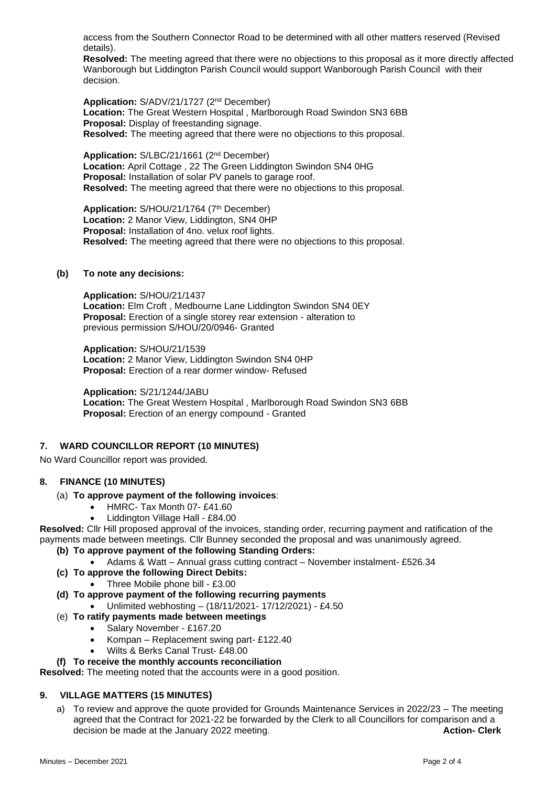access from the Southern Connector Road to be determined with all other matters reserved (Revised details).

**Resolved:** The meeting agreed that there were no objections to this proposal as it more directly affected Wanborough but Liddington Parish Council would support Wanborough Parish Council with their decision.

**Application:** S/ADV/21/1727 (2nd December) **Location:** The Great Western Hospital , Marlborough Road Swindon SN3 6BB **Proposal:** Display of freestanding signage. **Resolved:** The meeting agreed that there were no objections to this proposal.

**Application:** S/LBC/21/1661 (2nd December) **Location:** April Cottage , 22 The Green Liddington Swindon SN4 0HG **Proposal:** Installation of solar PV panels to garage roof. **Resolved:** The meeting agreed that there were no objections to this proposal.

Application: S/HOU/21/1764 (7<sup>th</sup> December) **Location:** 2 Manor View, Liddington, SN4 0HP **Proposal:** Installation of 4no. velux roof lights. **Resolved:** The meeting agreed that there were no objections to this proposal.

### **(b) To note any decisions:**

**Application:** S/HOU/21/1437 **Location:** Elm Croft , Medbourne Lane Liddington Swindon SN4 0EY **Proposal:** Erection of a single storey rear extension - alteration to previous permission S/HOU/20/0946- Granted

**Application:** S/HOU/21/1539 **Location:** 2 Manor View, Liddington Swindon SN4 0HP **Proposal:** Erection of a rear dormer window- Refused

**Application:** S/21/1244/JABU **Location:** The Great Western Hospital , Marlborough Road Swindon SN3 6BB **Proposal:** Erection of an energy compound - Granted

# **7. WARD COUNCILLOR REPORT (10 MINUTES)**

No Ward Councillor report was provided.

### **8. FINANCE (10 MINUTES)**

### (a) **To approve payment of the following invoices**:

- HMRC- Tax Month 07-£41.60
- Liddington Village Hall £84.00

**Resolved:** Cllr Hill proposed approval of the invoices, standing order, recurring payment and ratification of the payments made between meetings. Cllr Bunney seconded the proposal and was unanimously agreed.

### **(b) To approve payment of the following Standing Orders:**

- Adams & Watt Annual grass cutting contract November instalment- £526.34
- **(c) To approve the following Direct Debits:**
	- Three Mobile phone bill £3.00
- **(d) To approve payment of the following recurring payments** • Unlimited webhosting – (18/11/2021- 17/12/2021) - £4.50
- (e) **To ratify payments made between meetings**
	- Salary November £167.20
		- Kompan Replacement swing part- £122.40
	- Wilts & Berks Canal Trust- £48.00

### **(f) To receive the monthly accounts reconciliation**

**Resolved:** The meeting noted that the accounts were in a good position.

# **9. VILLAGE MATTERS (15 MINUTES)**

a) To review and approve the quote provided for Grounds Maintenance Services in 2022/23 – The meeting agreed that the Contract for 2021-22 be forwarded by the Clerk to all Councillors for comparison and a decision be made at the January 2022 meeting. decision be made at the January 2022 meeting.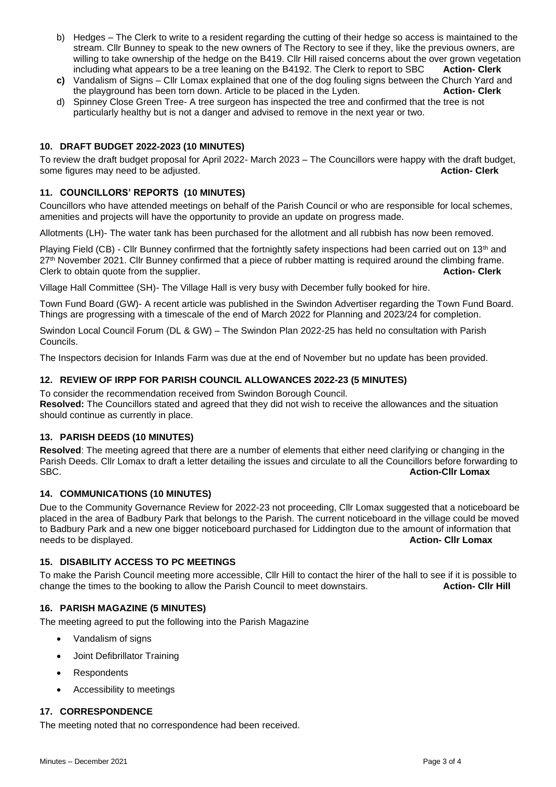- b) Hedges The Clerk to write to a resident regarding the cutting of their hedge so access is maintained to the stream. Cllr Bunney to speak to the new owners of The Rectory to see if they, like the previous owners, are willing to take ownership of the hedge on the B419. Cllr Hill raised concerns about the over grown vegetation including what appears to be a tree leaning on the B4192. The Clerk to report to SBC **Action- Clerk**
- **c)** Vandalism of Signs Cllr Lomax explained that one of the dog fouling signs between the Church Yard and the playground has been torn down. Article to be placed in the Lyden. **Action- Clerk**
- d) Spinney Close Green Tree- A tree surgeon has inspected the tree and confirmed that the tree is not particularly healthy but is not a danger and advised to remove in the next year or two.

# **10. DRAFT BUDGET 2022-2023 (10 MINUTES)**

To review the draft budget proposal for April 2022- March 2023 – The Councillors were happy with the draft budget, some figures may need to be adjusted. **Action-** Clerk and the action-

### **11. COUNCILLORS' REPORTS (10 MINUTES)**

Councillors who have attended meetings on behalf of the Parish Council or who are responsible for local schemes, amenities and projects will have the opportunity to provide an update on progress made.

Allotments (LH)- The water tank has been purchased for the allotment and all rubbish has now been removed.

Playing Field (CB) - Cllr Bunney confirmed that the fortnightly safety inspections had been carried out on 13<sup>th</sup> and 27<sup>th</sup> November 2021. Cllr Bunney confirmed that a piece of rubber matting is required around the climbing frame. Clerk to obtain quote from the supplier. **Action- Clerk**

Village Hall Committee (SH)- The Village Hall is very busy with December fully booked for hire.

Town Fund Board (GW)- A recent article was published in the Swindon Advertiser regarding the Town Fund Board. Things are progressing with a timescale of the end of March 2022 for Planning and 2023/24 for completion.

Swindon Local Council Forum (DL & GW) – The Swindon Plan 2022-25 has held no consultation with Parish Councils.

The Inspectors decision for Inlands Farm was due at the end of November but no update has been provided.

### **12. REVIEW OF IRPP FOR PARISH COUNCIL ALLOWANCES 2022-23 (5 MINUTES)**

To consider the recommendation received from Swindon Borough Council.

**Resolved:** The Councillors stated and agreed that they did not wish to receive the allowances and the situation should continue as currently in place.

### **13. PARISH DEEDS (10 MINUTES)**

**Resolved**: The meeting agreed that there are a number of elements that either need clarifying or changing in the Parish Deeds. Cllr Lomax to draft a letter detailing the issues and circulate to all the Councillors before forwarding to SBC. **Action-Cllr Lomax**

### **14. COMMUNICATIONS (10 MINUTES)**

Due to the Community Governance Review for 2022-23 not proceeding, Cllr Lomax suggested that a noticeboard be placed in the area of Badbury Park that belongs to the Parish. The current noticeboard in the village could be moved to Badbury Park and a new one bigger noticeboard purchased for Liddington due to the amount of information that needs to be displayed. **Action- Cllr Lomax**

### **15. DISABILITY ACCESS TO PC MEETINGS**

To make the Parish Council meeting more accessible, Cllr Hill to contact the hirer of the hall to see if it is possible to change the times to the booking to allow the Parish Council to meet downstairs. **Action- Cllr Hill**

### **16. PARISH MAGAZINE (5 MINUTES)**

The meeting agreed to put the following into the Parish Magazine

- Vandalism of signs
- Joint Defibrillator Training
- Respondents
- Accessibility to meetings

# **17. CORRESPONDENCE**

The meeting noted that no correspondence had been received.